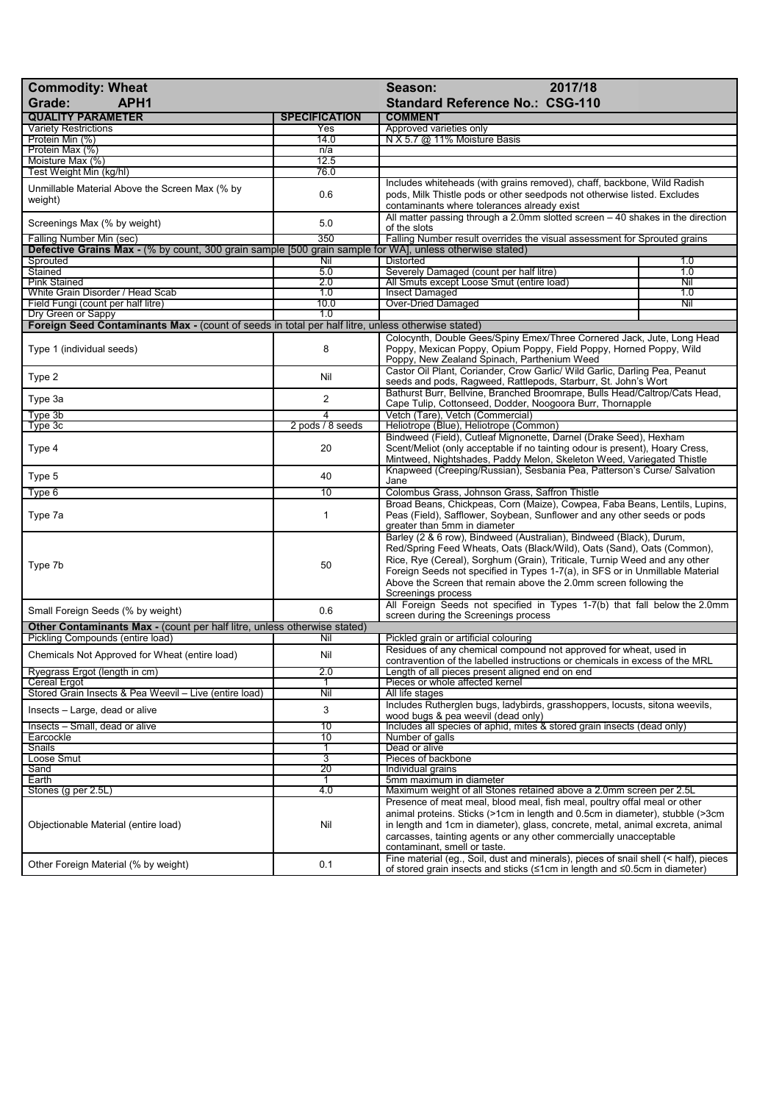| 2017/18<br><b>Commodity: Wheat</b><br>Season:<br>Grade:<br>APH <sub>1</sub><br><b>Standard Reference No.: CSG-110</b> |                      |                                                                                                                                                                                                                                                                                                                                                                                                        |            |
|-----------------------------------------------------------------------------------------------------------------------|----------------------|--------------------------------------------------------------------------------------------------------------------------------------------------------------------------------------------------------------------------------------------------------------------------------------------------------------------------------------------------------------------------------------------------------|------------|
| <b>QUALITY PARAMETER</b>                                                                                              | <b>SPECIFICATION</b> | <b>COMMENT</b>                                                                                                                                                                                                                                                                                                                                                                                         |            |
| <b>Variety Restrictions</b>                                                                                           | Yes                  | Approved varieties only                                                                                                                                                                                                                                                                                                                                                                                |            |
| Protein Min (%)                                                                                                       | 14.0                 | N X 5.7 @ 11% Moisture Basis                                                                                                                                                                                                                                                                                                                                                                           |            |
| Protein Max (%)                                                                                                       | n/a                  |                                                                                                                                                                                                                                                                                                                                                                                                        |            |
| Moisture Max (%)                                                                                                      | 12.5                 |                                                                                                                                                                                                                                                                                                                                                                                                        |            |
| Test Weight Min (kg/hl)                                                                                               | 76.0                 |                                                                                                                                                                                                                                                                                                                                                                                                        |            |
| Unmillable Material Above the Screen Max (% by<br>weight)                                                             | 0.6                  | Includes whiteheads (with grains removed), chaff, backbone, Wild Radish<br>pods, Milk Thistle pods or other seedpods not otherwise listed. Excludes<br>contaminants where tolerances already exist                                                                                                                                                                                                     |            |
| Screenings Max (% by weight)                                                                                          | 5.0                  | All matter passing through a 2.0mm slotted screen $-40$ shakes in the direction<br>of the slots                                                                                                                                                                                                                                                                                                        |            |
| Falling Number Min (sec)                                                                                              | 350                  | Falling Number result overrides the visual assessment for Sprouted grains                                                                                                                                                                                                                                                                                                                              |            |
| <b>Defective Grains Max</b> - (% by count, 300 grain sample [500 grain sample for WA], unless otherwise stated)       |                      |                                                                                                                                                                                                                                                                                                                                                                                                        |            |
| Sprouted                                                                                                              | Nil                  | <b>Distorted</b>                                                                                                                                                                                                                                                                                                                                                                                       | 1.0        |
| Stained                                                                                                               | 5.0                  | Severely Damaged (count per half litre)                                                                                                                                                                                                                                                                                                                                                                | 1.0        |
| <b>Pink Stained</b><br>White Grain Disorder / Head Scab                                                               | 2.0<br>1.0           | All Smuts except Loose Smut (entire load)<br><b>Insect Damaged</b>                                                                                                                                                                                                                                                                                                                                     | Nil<br>1.0 |
| Field Fungi (count per half litre)                                                                                    | 10.0                 | Over-Dried Damaged                                                                                                                                                                                                                                                                                                                                                                                     | Nil        |
| Dry Green or Sappy                                                                                                    | 1.0                  |                                                                                                                                                                                                                                                                                                                                                                                                        |            |
| Foreign Seed Contaminants Max - (count of seeds in total per half litre, unless otherwise stated)                     |                      |                                                                                                                                                                                                                                                                                                                                                                                                        |            |
|                                                                                                                       |                      | Colocynth, Double Gees/Spiny Emex/Three Cornered Jack, Jute, Long Head                                                                                                                                                                                                                                                                                                                                 |            |
| Type 1 (individual seeds)                                                                                             | 8                    | Poppy, Mexican Poppy, Opium Poppy, Field Poppy, Horned Poppy, Wild<br>Poppy, New Zealand Spinach, Parthenium Weed                                                                                                                                                                                                                                                                                      |            |
| Type 2                                                                                                                | Nil                  | Castor Oil Plant, Coriander, Crow Garlic/ Wild Garlic, Darling Pea, Peanut<br>seeds and pods, Ragweed, Rattlepods, Starburr, St. John's Wort                                                                                                                                                                                                                                                           |            |
| Type 3a                                                                                                               | $\overline{2}$       | Bathurst Burr, Bellvine, Branched Broomrape, Bulls Head/Caltrop/Cats Head,<br>Cape Tulip, Cottonseed, Dodder, Noogoora Burr, Thornapple                                                                                                                                                                                                                                                                |            |
| Type 3b                                                                                                               | 4                    | Vetch (Tare), Vetch (Commercial)                                                                                                                                                                                                                                                                                                                                                                       |            |
| Type 3c                                                                                                               | 2 pods / 8 seeds     | Heliotrope (Blue), Heliotrope (Common)                                                                                                                                                                                                                                                                                                                                                                 |            |
| Type 4                                                                                                                | 20                   | Bindweed (Field), Cutleaf Mignonette, Darnel (Drake Seed), Hexham<br>Scent/Meliot (only acceptable if no tainting odour is present), Hoary Cress,<br>Mintweed, Nightshades, Paddy Melon, Skeleton Weed, Variegated Thistle                                                                                                                                                                             |            |
| Type 5                                                                                                                | 40                   | Knapweed (Creeping/Russian), Sesbania Pea, Patterson's Curse/ Salvation<br>Jane                                                                                                                                                                                                                                                                                                                        |            |
| Type 6                                                                                                                | 10                   | Colombus Grass, Johnson Grass, Saffron Thistle                                                                                                                                                                                                                                                                                                                                                         |            |
| Type 7a                                                                                                               | 1                    | Broad Beans, Chickpeas, Corn (Maize), Cowpea, Faba Beans, Lentils, Lupins,<br>Peas (Field), Safflower, Soybean, Sunflower and any other seeds or pods<br>greater than 5mm in diameter                                                                                                                                                                                                                  |            |
| Type 7b                                                                                                               | 50                   | Barley (2 & 6 row), Bindweed (Australian), Bindweed (Black), Durum,<br>Red/Spring Feed Wheats, Oats (Black/Wild), Oats (Sand), Oats (Common),<br>Rice, Rye (Cereal), Sorghum (Grain), Triticale, Turnip Weed and any other<br>Foreign Seeds not specified in Types 1-7(a), in SFS or in Unmillable Material<br>Above the Screen that remain above the 2.0mm screen following the<br>Screenings process |            |
| Small Foreign Seeds (% by weight)                                                                                     | 0.6                  | All Foreign Seeds not specified in Types 1-7(b) that fall below the 2.0mm                                                                                                                                                                                                                                                                                                                              |            |
| Other Contaminants Max - (count per half litre, unless otherwise stated)                                              |                      | screen during the Screenings process                                                                                                                                                                                                                                                                                                                                                                   |            |
|                                                                                                                       |                      |                                                                                                                                                                                                                                                                                                                                                                                                        |            |
| Pickling Compounds (entire load)                                                                                      | Nil                  | Pickled grain or artificial colouring<br>Residues of any chemical compound not approved for wheat, used in                                                                                                                                                                                                                                                                                             |            |
| Chemicals Not Approved for Wheat (entire load)<br>Ryegrass Ergot (length in cm)                                       | Nil<br>2.0           | contravention of the labelled instructions or chemicals in excess of the MRL<br>Length of all pieces present aligned end on end                                                                                                                                                                                                                                                                        |            |
| <b>Cereal Ergot</b>                                                                                                   |                      | Pieces or whole affected kernel                                                                                                                                                                                                                                                                                                                                                                        |            |
| Stored Grain Insects & Pea Weevil - Live (entire load)                                                                | Nil                  | All life stages                                                                                                                                                                                                                                                                                                                                                                                        |            |
| Insects - Large, dead or alive                                                                                        | 3                    | Includes Rutherglen bugs, ladybirds, grasshoppers, locusts, sitona weevils,<br>wood bugs & pea weevil (dead only)                                                                                                                                                                                                                                                                                      |            |
| Insects - Small, dead or alive                                                                                        | 10                   | Includes all species of aphid, mites & stored grain insects (dead only)                                                                                                                                                                                                                                                                                                                                |            |
| Earcockle                                                                                                             | 10                   | Number of galls                                                                                                                                                                                                                                                                                                                                                                                        |            |
| Snails                                                                                                                | 1                    | Dead or alive                                                                                                                                                                                                                                                                                                                                                                                          |            |
| Loose Smut                                                                                                            | 3                    | Pieces of backbone                                                                                                                                                                                                                                                                                                                                                                                     |            |
| Sand                                                                                                                  | $\overline{20}$      | Individual grains                                                                                                                                                                                                                                                                                                                                                                                      |            |
| Earth                                                                                                                 | 1                    | 5mm maximum in diameter                                                                                                                                                                                                                                                                                                                                                                                |            |
| Stones (g per 2.5L)                                                                                                   | 4.0                  | Maximum weight of all Stones retained above a 2.0mm screen per 2.5L                                                                                                                                                                                                                                                                                                                                    |            |
| Objectionable Material (entire load)                                                                                  | Nil                  | Presence of meat meal, blood meal, fish meal, poultry offal meal or other<br>animal proteins. Sticks (>1cm in length and 0.5cm in diameter), stubble (>3cm<br>in length and 1cm in diameter), glass, concrete, metal, animal excreta, animal<br>carcasses, tainting agents or any other commercially unacceptable<br>contaminant, smell or taste.                                                      |            |
| Other Foreign Material (% by weight)                                                                                  | 0.1                  | Fine material (eg., Soil, dust and minerals), pieces of snail shell (< half), pieces<br>of stored grain insects and sticks (≤1cm in length and ≤0.5cm in diameter)                                                                                                                                                                                                                                     |            |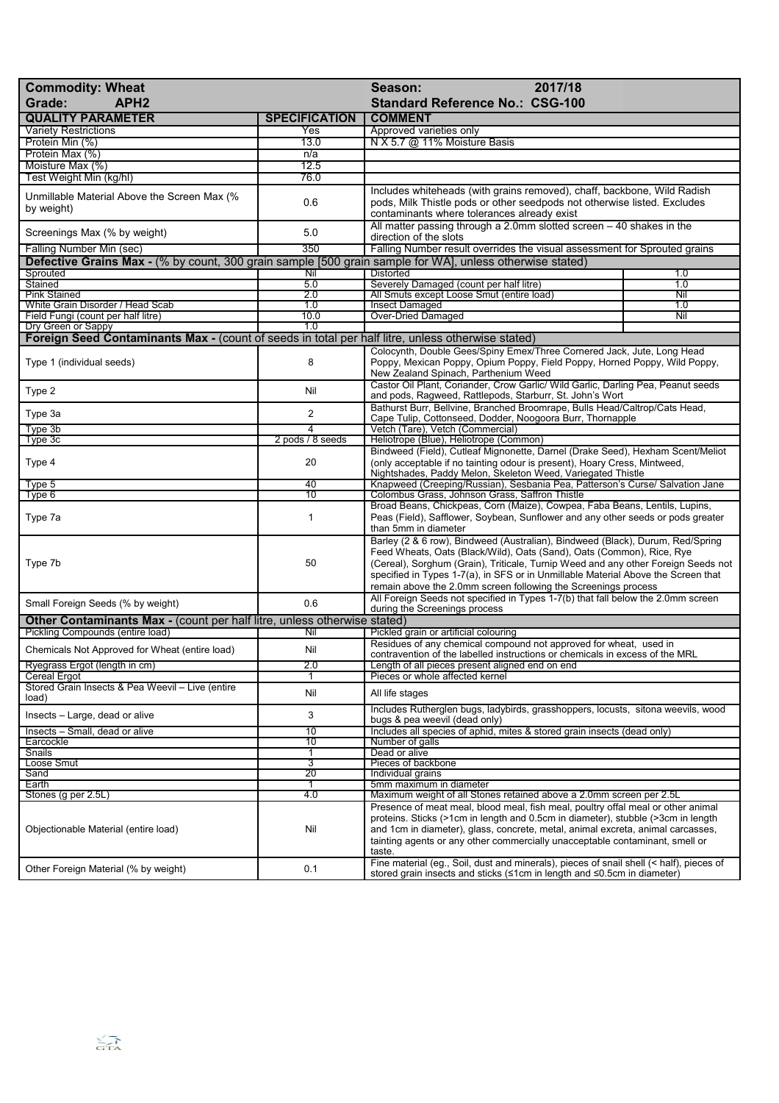| <b>Commodity: Wheat</b><br>APH <sub>2</sub><br>Grade:                                                                          |                      | 2017/18<br>Season:<br><b>Standard Reference No.: CSG-100</b>                                                                                                                                                                                                                                                                                                                                        |     |
|--------------------------------------------------------------------------------------------------------------------------------|----------------------|-----------------------------------------------------------------------------------------------------------------------------------------------------------------------------------------------------------------------------------------------------------------------------------------------------------------------------------------------------------------------------------------------------|-----|
| <b>QUALITY PARAMETER</b>                                                                                                       | <b>SPECIFICATION</b> | <b>COMMENT</b>                                                                                                                                                                                                                                                                                                                                                                                      |     |
| <b>Variety Restrictions</b>                                                                                                    | Yes                  | Approved varieties only                                                                                                                                                                                                                                                                                                                                                                             |     |
| Protein Min (%)                                                                                                                | 13.0                 | N X 5.7 @ 11% Moisture Basis                                                                                                                                                                                                                                                                                                                                                                        |     |
| Protein Max (%)                                                                                                                | n/a                  |                                                                                                                                                                                                                                                                                                                                                                                                     |     |
| Moisture Max (%)                                                                                                               | 12.5                 |                                                                                                                                                                                                                                                                                                                                                                                                     |     |
| Test Weight Min (kg/hl)                                                                                                        | 76.0                 |                                                                                                                                                                                                                                                                                                                                                                                                     |     |
| Unmillable Material Above the Screen Max (%<br>by weight)                                                                      | 0.6                  | Includes whiteheads (with grains removed), chaff, backbone, Wild Radish<br>pods, Milk Thistle pods or other seedpods not otherwise listed. Excludes<br>contaminants where tolerances already exist                                                                                                                                                                                                  |     |
| Screenings Max (% by weight)                                                                                                   | 5.0                  | All matter passing through a 2.0mm slotted screen $-40$ shakes in the<br>direction of the slots                                                                                                                                                                                                                                                                                                     |     |
| Falling Number Min (sec)                                                                                                       | 350                  | Falling Number result overrides the visual assessment for Sprouted grains                                                                                                                                                                                                                                                                                                                           |     |
| Defective Grains Max - (% by count, 300 grain sample [500 grain sample for WA], unless otherwise stated)                       |                      |                                                                                                                                                                                                                                                                                                                                                                                                     |     |
| Sprouted                                                                                                                       | Nil                  | <b>Distorted</b>                                                                                                                                                                                                                                                                                                                                                                                    | 1.0 |
| Stained                                                                                                                        | 5.0                  | Severely Damaged (count per half litre)                                                                                                                                                                                                                                                                                                                                                             | 1.0 |
| <b>Pink Stained</b>                                                                                                            | 2.0                  | All Smuts except Loose Smut (entire load)                                                                                                                                                                                                                                                                                                                                                           | Nil |
| White Grain Disorder / Head Scab                                                                                               | 1.0                  | Insect Damaged                                                                                                                                                                                                                                                                                                                                                                                      | 1.0 |
| Field Fungi (count per half litre)                                                                                             | 10.0<br>1.0          | <b>Over-Dried Damaged</b>                                                                                                                                                                                                                                                                                                                                                                           | Nil |
| Dry Green or Sappy<br><b>Foreign Seed Contaminants Max - (count of seeds in total per half litre, unless otherwise stated)</b> |                      |                                                                                                                                                                                                                                                                                                                                                                                                     |     |
| Type 1 (individual seeds)                                                                                                      | 8                    | Colocynth, Double Gees/Spiny Emex/Three Cornered Jack, Jute, Long Head<br>Poppy, Mexican Poppy, Opium Poppy, Field Poppy, Horned Poppy, Wild Poppy,<br>New Zealand Spinach, Parthenium Weed                                                                                                                                                                                                         |     |
| Type 2                                                                                                                         | Nil                  | Castor Oil Plant, Coriander, Crow Garlic/ Wild Garlic, Darling Pea, Peanut seeds<br>and pods, Ragweed, Rattlepods, Starburr, St. John's Wort                                                                                                                                                                                                                                                        |     |
| Type 3a                                                                                                                        | $\overline{2}$       | Bathurst Burr, Bellvine, Branched Broomrape, Bulls Head/Caltrop/Cats Head,<br>Cape Tulip, Cottonseed, Dodder, Noogoora Burr, Thornapple                                                                                                                                                                                                                                                             |     |
| Type 3b                                                                                                                        | 4                    | Vetch (Tare), Vetch (Commercial)                                                                                                                                                                                                                                                                                                                                                                    |     |
| Type 3c                                                                                                                        | 2 pods / 8 seeds     | Heliotrope (Blue), Heliotrope (Common)                                                                                                                                                                                                                                                                                                                                                              |     |
| Type 4                                                                                                                         | 20                   | Bindweed (Field), Cutleaf Mignonette, Darnel (Drake Seed), Hexham Scent/Meliot<br>(only acceptable if no tainting odour is present), Hoary Cress, Mintweed,<br>Nightshades, Paddy Melon, Skeleton Weed, Variegated Thistle                                                                                                                                                                          |     |
| Type 5                                                                                                                         | 40<br>10             | Knapweed (Creeping/Russian), Sesbania Pea, Patterson's Curse/ Salvation Jane                                                                                                                                                                                                                                                                                                                        |     |
| Type 6<br>Type 7a                                                                                                              | 1                    | Colombus Grass, Johnson Grass, Saffron Thistle<br>Broad Beans, Chickpeas, Corn (Maize), Cowpea, Faba Beans, Lentils, Lupins,<br>Peas (Field), Safflower, Soybean, Sunflower and any other seeds or pods greater<br>than 5mm in diameter                                                                                                                                                             |     |
| Type 7b                                                                                                                        | 50                   | Barley (2 & 6 row), Bindweed (Australian), Bindweed (Black), Durum, Red/Spring<br>Feed Wheats, Oats (Black/Wild), Oats (Sand), Oats (Common), Rice, Rye<br>(Cereal), Sorghum (Grain), Triticale, Turnip Weed and any other Foreign Seeds not<br>specified in Types 1-7(a), in SFS or in Unmillable Material Above the Screen that<br>remain above the 2.0mm screen following the Screenings process |     |
| Small Foreign Seeds (% by weight)                                                                                              | 0.6                  | All Foreign Seeds not specified in Types 1-7(b) that fall below the 2.0mm screen<br>during the Screenings process                                                                                                                                                                                                                                                                                   |     |
| <b>Other Contaminants Max - (count per half litre, unless otherwise stated)</b>                                                |                      |                                                                                                                                                                                                                                                                                                                                                                                                     |     |
| Pickling Compounds (entire load)<br>Chemicals Not Approved for Wheat (entire load)                                             | Nil<br>Nil           | Pickled grain or artificial colouring<br>Residues of any chemical compound not approved for wheat, used in<br>contravention of the labelled instructions or chemicals in excess of the MRL                                                                                                                                                                                                          |     |
| Ryegrass Ergot (length in cm)                                                                                                  | 2.0                  | Length of all pieces present aligned end on end                                                                                                                                                                                                                                                                                                                                                     |     |
| Cereal Ergot                                                                                                                   |                      | Pieces or whole affected kernel                                                                                                                                                                                                                                                                                                                                                                     |     |
| Stored Grain Insects & Pea Weevil - Live (entire<br>load)                                                                      | Nil                  | All life stages                                                                                                                                                                                                                                                                                                                                                                                     |     |
| Insects - Large, dead or alive                                                                                                 | 3                    | Includes Rutherglen bugs, ladybirds, grasshoppers, locusts, sitona weevils, wood<br>bugs & pea weevil (dead only)                                                                                                                                                                                                                                                                                   |     |
| Insects - Small, dead or alive                                                                                                 | 10                   | Includes all species of aphid, mites & stored grain insects (dead only)                                                                                                                                                                                                                                                                                                                             |     |
| Earcockle                                                                                                                      | 10                   | Number of galls                                                                                                                                                                                                                                                                                                                                                                                     |     |
| Snails                                                                                                                         | 1                    | Dead or alive                                                                                                                                                                                                                                                                                                                                                                                       |     |
| Loose Smut                                                                                                                     | 3<br>$\overline{20}$ | Pieces of backbone                                                                                                                                                                                                                                                                                                                                                                                  |     |
| Sand<br>Earth                                                                                                                  | 1                    | Individual grains<br>5mm maximum in diameter                                                                                                                                                                                                                                                                                                                                                        |     |
| Stones (g per 2.5L)                                                                                                            | 4.0                  | Maximum weight of all Stones retained above a 2.0mm screen per 2.5L                                                                                                                                                                                                                                                                                                                                 |     |
| Objectionable Material (entire load)                                                                                           | Nil                  | Presence of meat meal, blood meal, fish meal, poultry offal meal or other animal<br>proteins. Sticks (>1cm in length and 0.5cm in diameter), stubble (>3cm in length<br>and 1cm in diameter), glass, concrete, metal, animal excreta, animal carcasses,<br>tainting agents or any other commercially unacceptable contaminant, smell or<br>taste.                                                   |     |
| Other Foreign Material (% by weight)                                                                                           | 0.1                  | Fine material (eg., Soil, dust and minerals), pieces of snail shell (< half), pieces of<br>stored grain insects and sticks (≤1cm in length and ≤0.5cm in diameter)                                                                                                                                                                                                                                  |     |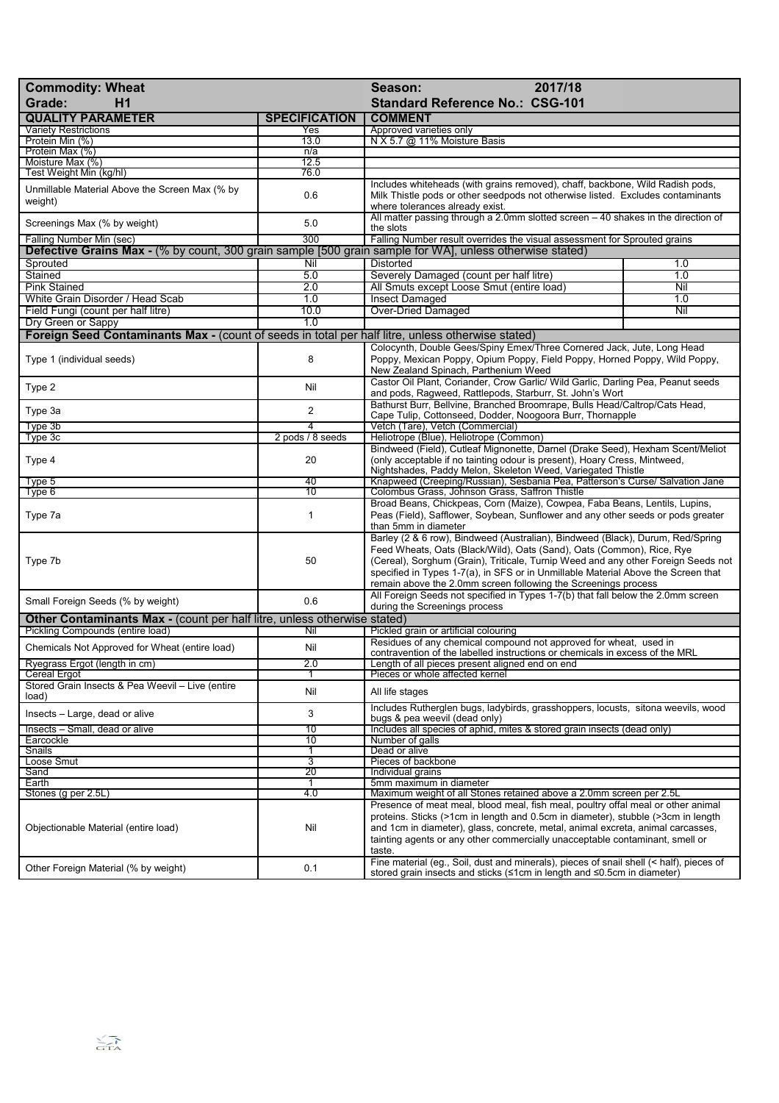| <b>Commodity: Wheat</b><br>Grade:<br>H1                                                                                              |                      | 2017/18<br>Season:<br><b>Standard Reference No.: CSG-101</b>                                                                                                                                                                                                                                                                                                                                                             |     |
|--------------------------------------------------------------------------------------------------------------------------------------|----------------------|--------------------------------------------------------------------------------------------------------------------------------------------------------------------------------------------------------------------------------------------------------------------------------------------------------------------------------------------------------------------------------------------------------------------------|-----|
| <b>QUALITY PARAMETER</b>                                                                                                             | <b>SPECIFICATION</b> | <b>COMMENT</b>                                                                                                                                                                                                                                                                                                                                                                                                           |     |
| <b>Variety Restrictions</b>                                                                                                          | Yes                  | Approved varieties only                                                                                                                                                                                                                                                                                                                                                                                                  |     |
| Protein Min (%)<br>Protein Max (%)                                                                                                   | 13.0<br>n/a          | N X 5.7 @ 11% Moisture Basis                                                                                                                                                                                                                                                                                                                                                                                             |     |
| Moisture Max (%)                                                                                                                     | 12.5                 |                                                                                                                                                                                                                                                                                                                                                                                                                          |     |
| Test Weight Min (kg/hl)                                                                                                              | 76.0                 |                                                                                                                                                                                                                                                                                                                                                                                                                          |     |
| Unmillable Material Above the Screen Max (% by<br>weight)                                                                            | 0.6                  | Includes whiteheads (with grains removed), chaff, backbone, Wild Radish pods,<br>Milk Thistle pods or other seedpods not otherwise listed. Excludes contaminants<br>where tolerances already exist.                                                                                                                                                                                                                      |     |
| Screenings Max (% by weight)                                                                                                         | 5.0                  | All matter passing through a 2.0mm slotted screen $-40$ shakes in the direction of<br>the slots                                                                                                                                                                                                                                                                                                                          |     |
| Falling Number Min (sec)<br>Defective Grains Max - (% by count, 300 grain sample [500 grain sample for WA], unless otherwise stated) | 300                  | Falling Number result overrides the visual assessment for Sprouted grains                                                                                                                                                                                                                                                                                                                                                |     |
| Sprouted                                                                                                                             | Nil                  | Distorted                                                                                                                                                                                                                                                                                                                                                                                                                | 1.0 |
| Stained                                                                                                                              | 5.0                  | Severely Damaged (count per half litre)                                                                                                                                                                                                                                                                                                                                                                                  | 1.0 |
| <b>Pink Stained</b>                                                                                                                  | 2.0                  | All Smuts except Loose Smut (entire load)                                                                                                                                                                                                                                                                                                                                                                                | Nil |
| White Grain Disorder / Head Scab                                                                                                     | 1.0                  | <b>Insect Damaged</b>                                                                                                                                                                                                                                                                                                                                                                                                    | 1.0 |
| Field Fungi (count per half litre)                                                                                                   | 10.0                 | <b>Over-Dried Damaged</b>                                                                                                                                                                                                                                                                                                                                                                                                | Nil |
| Dry Green or Sappy                                                                                                                   | 1.0                  |                                                                                                                                                                                                                                                                                                                                                                                                                          |     |
| Foreign Seed Contaminants Max - (count of seeds in total per half litre, unless otherwise stated)                                    |                      |                                                                                                                                                                                                                                                                                                                                                                                                                          |     |
| Type 1 (individual seeds)                                                                                                            | 8                    | Colocynth, Double Gees/Spiny Emex/Three Cornered Jack, Jute, Long Head<br>Poppy, Mexican Poppy, Opium Poppy, Field Poppy, Horned Poppy, Wild Poppy,<br>New Zealand Spinach, Parthenium Weed                                                                                                                                                                                                                              |     |
| Type 2                                                                                                                               | Nil                  | Castor Oil Plant, Coriander, Crow Garlic/ Wild Garlic, Darling Pea, Peanut seeds<br>and pods, Ragweed, Rattlepods, Starburr, St. John's Wort                                                                                                                                                                                                                                                                             |     |
| Type 3a                                                                                                                              | $\overline{2}$       | Bathurst Burr, Bellvine, Branched Broomrape, Bulls Head/Caltrop/Cats Head,<br>Cape Tulip, Cottonseed, Dodder, Noogoora Burr, Thornapple                                                                                                                                                                                                                                                                                  |     |
| Type 3b                                                                                                                              | 4                    | Vetch (Tare), Vetch (Commercial)                                                                                                                                                                                                                                                                                                                                                                                         |     |
| Type 3c                                                                                                                              | 2 pods / 8 seeds     | Heliotrope (Blue), Heliotrope (Common)                                                                                                                                                                                                                                                                                                                                                                                   |     |
| Type 4                                                                                                                               | 20                   | Bindweed (Field), Cutleaf Mignonette, Darnel (Drake Seed), Hexham Scent/Meliot<br>(only acceptable if no tainting odour is present), Hoary Cress, Mintweed,<br>Nightshades, Paddy Melon, Skeleton Weed, Variegated Thistle                                                                                                                                                                                               |     |
| Type 5                                                                                                                               | 40<br>10             | Knapweed (Creeping/Russian), Sesbania Pea, Patterson's Curse/ Salvation Jane                                                                                                                                                                                                                                                                                                                                             |     |
| Type 6<br>Type 7a                                                                                                                    | 1                    | Colombus Grass, Johnson Grass, Saffron Thistle<br>Broad Beans, Chickpeas, Corn (Maize), Cowpea, Faba Beans, Lentils, Lupins,<br>Peas (Field), Safflower, Soybean, Sunflower and any other seeds or pods greater<br>than 5mm in diameter                                                                                                                                                                                  |     |
| Type 7b                                                                                                                              | 50                   | Barley (2 & 6 row), Bindweed (Australian), Bindweed (Black), Durum, Red/Spring<br>Feed Wheats, Oats (Black/Wild), Oats (Sand), Oats (Common), Rice, Rye<br>(Cereal), Sorghum (Grain), Triticale, Turnip Weed and any other Foreign Seeds not<br>specified in Types 1-7(a), in SFS or in Unmillable Material Above the Screen that<br>remain above the 2.0mm screen following the Screenings process                      |     |
| Small Foreign Seeds (% by weight)                                                                                                    | 0.6                  | All Foreign Seeds not specified in Types 1-7(b) that fall below the 2.0mm screen<br>during the Screenings process                                                                                                                                                                                                                                                                                                        |     |
| <b>Other Contaminants Max - (count per half litre, unless otherwise stated)</b><br>Pickling Compounds (entire load)                  |                      |                                                                                                                                                                                                                                                                                                                                                                                                                          |     |
| Chemicals Not Approved for Wheat (entire load)                                                                                       | Nil<br>Nil           | Pickled grain or artificial colouring<br>Residues of any chemical compound not approved for wheat, used in<br>contravention of the labelled instructions or chemicals in excess of the MRL                                                                                                                                                                                                                               |     |
| Ryegrass Ergot (length in cm)                                                                                                        | 2.0                  | Length of all pieces present aligned end on end                                                                                                                                                                                                                                                                                                                                                                          |     |
| <b>Cereal Ergot</b>                                                                                                                  | 1                    | Pieces or whole affected kernel                                                                                                                                                                                                                                                                                                                                                                                          |     |
| Stored Grain Insects & Pea Weevil - Live (entire<br>load)                                                                            | Nil                  | All life stages                                                                                                                                                                                                                                                                                                                                                                                                          |     |
| Insects – Large, dead or alive                                                                                                       | 3                    | Includes Rutherglen bugs, ladybirds, grasshoppers, locusts, sitona weevils, wood<br>bugs & pea weevil (dead only)                                                                                                                                                                                                                                                                                                        |     |
| Insects - Small, dead or alive<br>Earcockle                                                                                          | 10<br>10             | Includes all species of aphid, mites & stored grain insects (dead only)<br>Number of galls                                                                                                                                                                                                                                                                                                                               |     |
| Snails                                                                                                                               | 1                    | Dead or alive                                                                                                                                                                                                                                                                                                                                                                                                            |     |
| Loose Smut                                                                                                                           | $\overline{3}$       | Pieces of backbone                                                                                                                                                                                                                                                                                                                                                                                                       |     |
| Sand                                                                                                                                 | 20                   | Individual grains                                                                                                                                                                                                                                                                                                                                                                                                        |     |
| Earth<br>Stones (g per 2.5L)                                                                                                         | 1<br>4.0             | 5mm maximum in diameter                                                                                                                                                                                                                                                                                                                                                                                                  |     |
| Objectionable Material (entire load)                                                                                                 | Nil                  | Maximum weight of all Stones retained above a 2.0mm screen per 2.5L<br>Presence of meat meal, blood meal, fish meal, poultry offal meal or other animal<br>proteins. Sticks (>1cm in length and 0.5cm in diameter), stubble (>3cm in length<br>and 1cm in diameter), glass, concrete, metal, animal excreta, animal carcasses,<br>tainting agents or any other commercially unacceptable contaminant, smell or<br>taste. |     |
| Other Foreign Material (% by weight)                                                                                                 | 0.1                  | Fine material (eg., Soil, dust and minerals), pieces of snail shell (< half), pieces of<br>stored grain insects and sticks (≤1cm in length and ≤0.5cm in diameter)                                                                                                                                                                                                                                                       |     |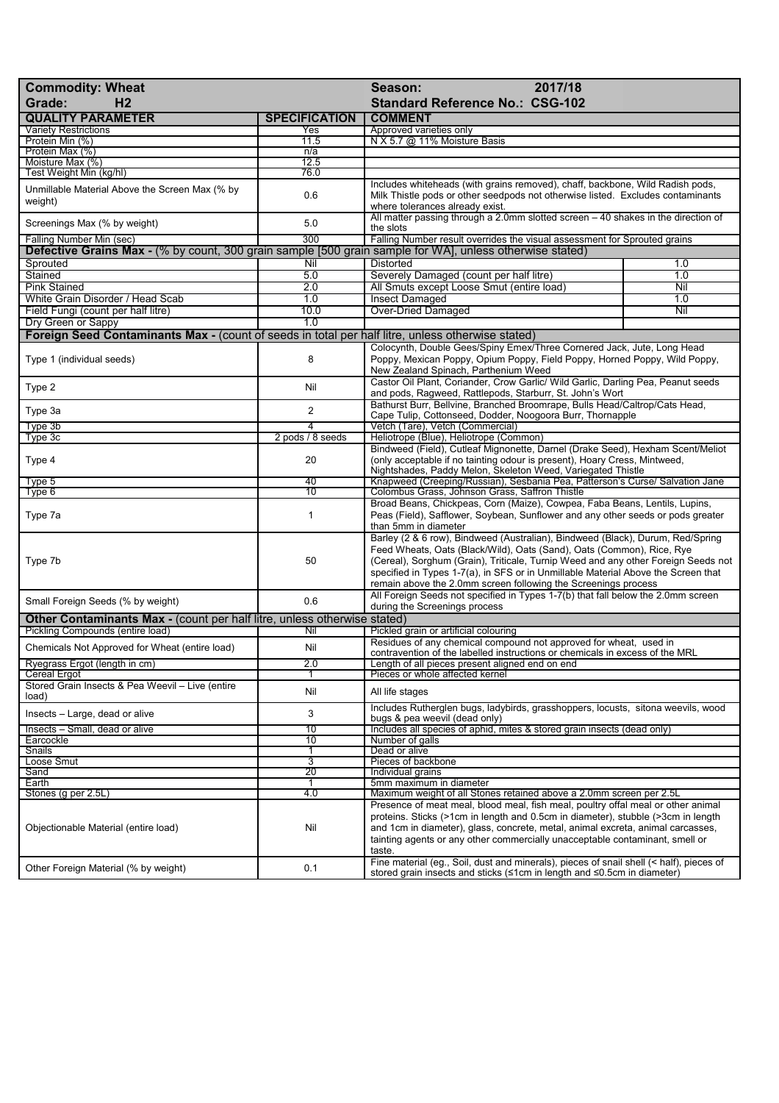| <b>Commodity: Wheat</b><br>H <sub>2</sub><br>Grade:                                                      |                       | 2017/18<br>Season:<br><b>Standard Reference No.: CSG-102</b>                                                                                                                                                                                                                                                                                                                                        |     |
|----------------------------------------------------------------------------------------------------------|-----------------------|-----------------------------------------------------------------------------------------------------------------------------------------------------------------------------------------------------------------------------------------------------------------------------------------------------------------------------------------------------------------------------------------------------|-----|
| <b>QUALITY PARAMETER</b>                                                                                 | <b>SPECIFICATION</b>  | <b>COMMENT</b>                                                                                                                                                                                                                                                                                                                                                                                      |     |
| <b>Variety Restrictions</b>                                                                              | Yes                   | Approved varieties only                                                                                                                                                                                                                                                                                                                                                                             |     |
| Protein Min (%)<br>Protein Max (%)                                                                       | 11.5<br>n/a           | N X 5.7 @ 11% Moisture Basis                                                                                                                                                                                                                                                                                                                                                                        |     |
| Moisture Max (%)                                                                                         | 12.5                  |                                                                                                                                                                                                                                                                                                                                                                                                     |     |
| Test Weight Min (kg/hl)                                                                                  | 76.0                  |                                                                                                                                                                                                                                                                                                                                                                                                     |     |
| Unmillable Material Above the Screen Max (% by<br>weight)                                                | 0.6                   | Includes whiteheads (with grains removed), chaff, backbone, Wild Radish pods,<br>Milk Thistle pods or other seedpods not otherwise listed. Excludes contaminants<br>where tolerances already exist.                                                                                                                                                                                                 |     |
| Screenings Max (% by weight)<br>Falling Number Min (sec)                                                 | 5.0<br>300            | All matter passing through a 2.0mm slotted screen - 40 shakes in the direction of<br>the slots                                                                                                                                                                                                                                                                                                      |     |
| Defective Grains Max - (% by count, 300 grain sample [500 grain sample for WA], unless otherwise stated) |                       | Falling Number result overrides the visual assessment for Sprouted grains                                                                                                                                                                                                                                                                                                                           |     |
| Sprouted                                                                                                 | Nil                   | <b>Distorted</b>                                                                                                                                                                                                                                                                                                                                                                                    | 1.0 |
| Stained                                                                                                  | 5.0                   | Severely Damaged (count per half litre)                                                                                                                                                                                                                                                                                                                                                             | 1.0 |
| <b>Pink Stained</b>                                                                                      | 2.0                   | All Smuts except Loose Smut (entire load)                                                                                                                                                                                                                                                                                                                                                           | Nil |
| White Grain Disorder / Head Scab                                                                         | 1.0                   | <b>Insect Damaged</b>                                                                                                                                                                                                                                                                                                                                                                               | 1.0 |
| Field Fungi (count per half litre)                                                                       | 10.0                  | <b>Over-Dried Damaged</b>                                                                                                                                                                                                                                                                                                                                                                           | Nil |
| Dry Green or Sappy                                                                                       | 1.0                   |                                                                                                                                                                                                                                                                                                                                                                                                     |     |
| Foreign Seed Contaminants Max - (count of seeds in total per half litre, unless otherwise stated)        |                       |                                                                                                                                                                                                                                                                                                                                                                                                     |     |
| Type 1 (individual seeds)                                                                                | 8                     | Colocynth, Double Gees/Spiny Emex/Three Cornered Jack, Jute, Long Head<br>Poppy, Mexican Poppy, Opium Poppy, Field Poppy, Horned Poppy, Wild Poppy,<br>New Zealand Spinach, Parthenium Weed                                                                                                                                                                                                         |     |
| Type 2                                                                                                   | Nil                   | Castor Oil Plant, Coriander, Crow Garlic/ Wild Garlic, Darling Pea, Peanut seeds<br>and pods, Ragweed, Rattlepods, Starburr, St. John's Wort                                                                                                                                                                                                                                                        |     |
| Type 3a                                                                                                  | $\overline{2}$        | Bathurst Burr, Bellvine, Branched Broomrape, Bulls Head/Caltrop/Cats Head,<br>Cape Tulip, Cottonseed, Dodder, Noogoora Burr, Thornapple                                                                                                                                                                                                                                                             |     |
| Type 3b                                                                                                  | 4                     | Vetch (Tare), Vetch (Commercial)                                                                                                                                                                                                                                                                                                                                                                    |     |
| Type 3c                                                                                                  | 2 pods / 8 seeds      | Heliotrope (Blue), Heliotrope (Common)                                                                                                                                                                                                                                                                                                                                                              |     |
| Type 4                                                                                                   | 20                    | Bindweed (Field), Cutleaf Mignonette, Darnel (Drake Seed), Hexham Scent/Meliot<br>(only acceptable if no tainting odour is present), Hoary Cress, Mintweed,<br>Nightshades, Paddy Melon, Skeleton Weed, Variegated Thistle                                                                                                                                                                          |     |
| Type 5<br>Type 6                                                                                         | 40<br>$\overline{10}$ | Knapweed (Creeping/Russian), Sesbania Pea, Patterson's Curse/ Salvation Jane<br>Colombus Grass, Johnson Grass, Saffron Thistle                                                                                                                                                                                                                                                                      |     |
| Type 7a                                                                                                  | $\mathbf{1}$          | Broad Beans, Chickpeas, Corn (Maize), Cowpea, Faba Beans, Lentils, Lupins,<br>Peas (Field), Safflower, Soybean, Sunflower and any other seeds or pods greater<br>than 5mm in diameter                                                                                                                                                                                                               |     |
| Type 7b                                                                                                  | 50                    | Barley (2 & 6 row), Bindweed (Australian), Bindweed (Black), Durum, Red/Spring<br>Feed Wheats, Oats (Black/Wild), Oats (Sand), Oats (Common), Rice, Rye<br>(Cereal), Sorghum (Grain), Triticale, Turnip Weed and any other Foreign Seeds not<br>specified in Types 1-7(a), in SFS or in Unmillable Material Above the Screen that<br>remain above the 2.0mm screen following the Screenings process |     |
| Small Foreign Seeds (% by weight)                                                                        | 0.6                   | All Foreign Seeds not specified in Types 1-7(b) that fall below the 2.0mm screen<br>during the Screenings process                                                                                                                                                                                                                                                                                   |     |
| <b>Other Contaminants Max - (count per half litre, unless otherwise stated)</b>                          |                       |                                                                                                                                                                                                                                                                                                                                                                                                     |     |
| Pickling Compounds (entire load)<br>Chemicals Not Approved for Wheat (entire load)                       | Nil<br>Nil            | Pickled grain or artificial colouring<br>Residues of any chemical compound not approved for wheat, used in<br>contravention of the labelled instructions or chemicals in excess of the MRL                                                                                                                                                                                                          |     |
| Ryegrass Ergot (length in cm)                                                                            | z.u                   | Length of all pieces present aligned end on end                                                                                                                                                                                                                                                                                                                                                     |     |
| <b>Cereal Ergot</b>                                                                                      |                       | Pieces or whole affected kernel                                                                                                                                                                                                                                                                                                                                                                     |     |
| Stored Grain Insects & Pea Weevil - Live (entire<br>load)                                                | Nil                   | All life stages                                                                                                                                                                                                                                                                                                                                                                                     |     |
| Insects - Large, dead or alive                                                                           | 3                     | Includes Rutherglen bugs, ladybirds, grasshoppers, locusts, sitona weevils, wood<br>bugs & pea weevil (dead only)                                                                                                                                                                                                                                                                                   |     |
| Insects - Small, dead or alive                                                                           | $\overline{10}$       | Includes all species of aphid, mites & stored grain insects (dead only)                                                                                                                                                                                                                                                                                                                             |     |
| Earcockle                                                                                                | 10                    | Number of galls<br>Dead or alive                                                                                                                                                                                                                                                                                                                                                                    |     |
| Snails<br>Loose Smut                                                                                     | 1<br>$\overline{3}$   | Pieces of backbone                                                                                                                                                                                                                                                                                                                                                                                  |     |
| Sand                                                                                                     | 20                    | Individual grains                                                                                                                                                                                                                                                                                                                                                                                   |     |
| Earth                                                                                                    | -1                    | 5mm maximum in diameter                                                                                                                                                                                                                                                                                                                                                                             |     |
| Stones (g per 2.5L)                                                                                      | 4.0                   | Maximum weight of all Stones retained above a 2.0mm screen per 2.5L                                                                                                                                                                                                                                                                                                                                 |     |
| Objectionable Material (entire load)                                                                     | Nil                   | Presence of meat meal, blood meal, fish meal, poultry offal meal or other animal<br>proteins. Sticks (>1cm in length and 0.5cm in diameter), stubble (>3cm in length<br>and 1cm in diameter), glass, concrete, metal, animal excreta, animal carcasses,<br>tainting agents or any other commercially unacceptable contaminant, smell or<br>taste.                                                   |     |
| Other Foreign Material (% by weight)                                                                     | 0.1                   | Fine material (eg., Soil, dust and minerals), pieces of snail shell (< half), pieces of<br>stored grain insects and sticks (≤1cm in length and ≤0.5cm in diameter)                                                                                                                                                                                                                                  |     |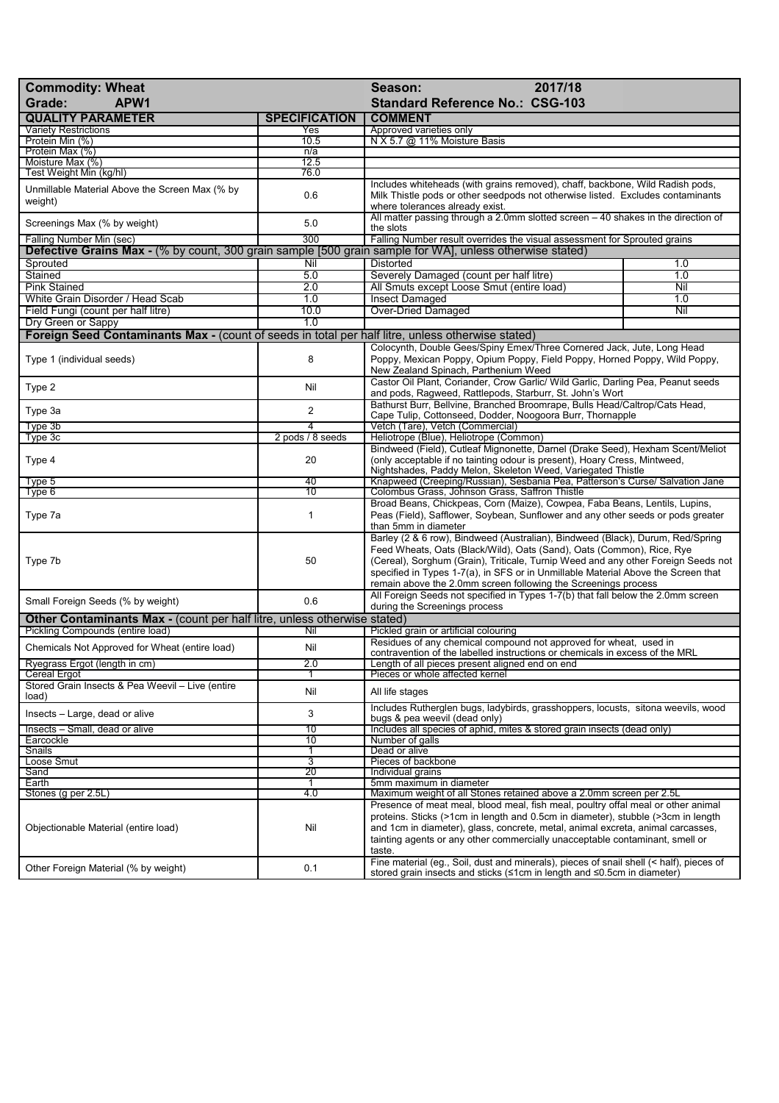| 2017/18<br><b>Commodity: Wheat</b><br>Season:<br>APW1<br><b>Standard Reference No.: CSG-103</b><br>Grade:                            |                       |                                                                                                                                                                                                                                                                                                                                                                                                     |     |
|--------------------------------------------------------------------------------------------------------------------------------------|-----------------------|-----------------------------------------------------------------------------------------------------------------------------------------------------------------------------------------------------------------------------------------------------------------------------------------------------------------------------------------------------------------------------------------------------|-----|
| <b>QUALITY PARAMETER</b>                                                                                                             | <b>SPECIFICATION</b>  | <b>COMMENT</b>                                                                                                                                                                                                                                                                                                                                                                                      |     |
| <b>Variety Restrictions</b>                                                                                                          | Yes                   | Approved varieties only                                                                                                                                                                                                                                                                                                                                                                             |     |
| Protein Min (%)<br>Protein Max (%)                                                                                                   | 10.5<br>n/a           | N X 5.7 @ 11% Moisture Basis                                                                                                                                                                                                                                                                                                                                                                        |     |
| Moisture Max (%)                                                                                                                     | 12.5                  |                                                                                                                                                                                                                                                                                                                                                                                                     |     |
| Test Weight Min (kg/hl)                                                                                                              | 76.0                  |                                                                                                                                                                                                                                                                                                                                                                                                     |     |
| Unmillable Material Above the Screen Max (% by<br>weight)                                                                            | 0.6                   | Includes whiteheads (with grains removed), chaff, backbone, Wild Radish pods,<br>Milk Thistle pods or other seedpods not otherwise listed. Excludes contaminants<br>where tolerances already exist.                                                                                                                                                                                                 |     |
| Screenings Max (% by weight)                                                                                                         | 5.0                   | All matter passing through a 2.0mm slotted screen - 40 shakes in the direction of<br>the slots                                                                                                                                                                                                                                                                                                      |     |
| Falling Number Min (sec)<br>Defective Grains Max - (% by count, 300 grain sample [500 grain sample for WA], unless otherwise stated) | 300                   | Falling Number result overrides the visual assessment for Sprouted grains                                                                                                                                                                                                                                                                                                                           |     |
| Sprouted                                                                                                                             | Nil                   | <b>Distorted</b>                                                                                                                                                                                                                                                                                                                                                                                    | 1.0 |
| Stained                                                                                                                              | 5.0                   | Severely Damaged (count per half litre)                                                                                                                                                                                                                                                                                                                                                             | 1.0 |
| <b>Pink Stained</b>                                                                                                                  | 2.0                   | All Smuts except Loose Smut (entire load)                                                                                                                                                                                                                                                                                                                                                           | Nil |
| White Grain Disorder / Head Scab                                                                                                     | 1.0                   | <b>Insect Damaged</b>                                                                                                                                                                                                                                                                                                                                                                               | 1.0 |
| Field Fungi (count per half litre)                                                                                                   | 10.0                  | <b>Over-Dried Damaged</b>                                                                                                                                                                                                                                                                                                                                                                           | Nil |
| Dry Green or Sappy                                                                                                                   | 1.0                   |                                                                                                                                                                                                                                                                                                                                                                                                     |     |
| Foreign Seed Contaminants Max - (count of seeds in total per half litre, unless otherwise stated)                                    |                       |                                                                                                                                                                                                                                                                                                                                                                                                     |     |
| Type 1 (individual seeds)                                                                                                            | 8                     | Colocynth, Double Gees/Spiny Emex/Three Cornered Jack, Jute, Long Head<br>Poppy, Mexican Poppy, Opium Poppy, Field Poppy, Horned Poppy, Wild Poppy,<br>New Zealand Spinach, Parthenium Weed                                                                                                                                                                                                         |     |
| Type 2                                                                                                                               | Nil                   | Castor Oil Plant, Coriander, Crow Garlic/ Wild Garlic, Darling Pea, Peanut seeds<br>and pods, Ragweed, Rattlepods, Starburr, St. John's Wort                                                                                                                                                                                                                                                        |     |
| Type 3a                                                                                                                              | 2                     | Bathurst Burr, Bellvine, Branched Broomrape, Bulls Head/Caltrop/Cats Head,<br>Cape Tulip, Cottonseed, Dodder, Noogoora Burr, Thornapple                                                                                                                                                                                                                                                             |     |
| Type 3b                                                                                                                              | 4                     | Vetch (Tare), Vetch (Commercial)                                                                                                                                                                                                                                                                                                                                                                    |     |
| Type 3c                                                                                                                              | 2 pods / 8 seeds      | Heliotrope (Blue), Heliotrope (Common)                                                                                                                                                                                                                                                                                                                                                              |     |
| Type 4                                                                                                                               | 20                    | Bindweed (Field), Cutleaf Mignonette, Darnel (Drake Seed), Hexham Scent/Meliot<br>(only acceptable if no tainting odour is present), Hoary Cress, Mintweed,<br>Nightshades, Paddy Melon, Skeleton Weed, Variegated Thistle                                                                                                                                                                          |     |
| Type 5<br>Type 6                                                                                                                     | 40<br>$\overline{10}$ | Knapweed (Creeping/Russian), Sesbania Pea, Patterson's Curse/ Salvation Jane<br>Colombus Grass, Johnson Grass, Saffron Thistle                                                                                                                                                                                                                                                                      |     |
| Type 7a                                                                                                                              | 1                     | Broad Beans, Chickpeas, Corn (Maize), Cowpea, Faba Beans, Lentils, Lupins,<br>Peas (Field), Safflower, Soybean, Sunflower and any other seeds or pods greater<br>than 5mm in diameter                                                                                                                                                                                                               |     |
| Type 7b                                                                                                                              | 50                    | Barley (2 & 6 row), Bindweed (Australian), Bindweed (Black), Durum, Red/Spring<br>Feed Wheats, Oats (Black/Wild), Oats (Sand), Oats (Common), Rice, Rye<br>(Cereal), Sorghum (Grain), Triticale, Turnip Weed and any other Foreign Seeds not<br>specified in Types 1-7(a), in SFS or in Unmillable Material Above the Screen that<br>remain above the 2.0mm screen following the Screenings process |     |
| Small Foreign Seeds (% by weight)                                                                                                    | 0.6                   | All Foreign Seeds not specified in Types 1-7(b) that fall below the 2.0mm screen<br>during the Screenings process                                                                                                                                                                                                                                                                                   |     |
| Other Contaminants Max - (count per half litre, unless otherwise stated)                                                             |                       |                                                                                                                                                                                                                                                                                                                                                                                                     |     |
| Pickling Compounds (entire load)                                                                                                     | Nil                   | Pickled grain or artificial colouring                                                                                                                                                                                                                                                                                                                                                               |     |
| Chemicals Not Approved for Wheat (entire load)                                                                                       | Nil                   | Residues of any chemical compound not approved for wheat, used in<br>contravention of the labelled instructions or chemicals in excess of the MRL                                                                                                                                                                                                                                                   |     |
| Ryegrass Ergot (length in cm)<br>Cereal Ergot                                                                                        | Z.U                   | Length of all pieces present aligned end on end<br>Pieces or whole affected kernel                                                                                                                                                                                                                                                                                                                  |     |
| Stored Grain Insects & Pea Weevil - Live (entire<br>load)                                                                            | Nil                   | All life stages                                                                                                                                                                                                                                                                                                                                                                                     |     |
| Insects - Large, dead or alive                                                                                                       | 3                     | Includes Rutherglen bugs, ladybirds, grasshoppers, locusts, sitona weevils, wood<br>bugs & pea weevil (dead only)                                                                                                                                                                                                                                                                                   |     |
| Insects - Small, dead or alive                                                                                                       | 10                    | Includes all species of aphid, mites & stored grain insects (dead only)                                                                                                                                                                                                                                                                                                                             |     |
| Earcockle                                                                                                                            | 10                    | Number of galls                                                                                                                                                                                                                                                                                                                                                                                     |     |
| Snails                                                                                                                               | 1                     | Dead or alive                                                                                                                                                                                                                                                                                                                                                                                       |     |
| Loose Smut<br>Sand                                                                                                                   | 3<br>20               | Pieces of backbone<br>Individual grains                                                                                                                                                                                                                                                                                                                                                             |     |
| Earth                                                                                                                                | 1                     | 5mm maximum in diameter                                                                                                                                                                                                                                                                                                                                                                             |     |
| Stones (g per 2.5L)                                                                                                                  | 4.0                   | Maximum weight of all Stones retained above a 2.0mm screen per 2.5L                                                                                                                                                                                                                                                                                                                                 |     |
| Objectionable Material (entire load)                                                                                                 | Nil                   | Presence of meat meal, blood meal, fish meal, poultry offal meal or other animal<br>proteins. Sticks (>1cm in length and 0.5cm in diameter), stubble (>3cm in length<br>and 1cm in diameter), glass, concrete, metal, animal excreta, animal carcasses,<br>tainting agents or any other commercially unacceptable contaminant, smell or<br>taste.                                                   |     |
| Other Foreign Material (% by weight)                                                                                                 | 0.1                   | Fine material (eg., Soil, dust and minerals), pieces of snail shell (< half), pieces of<br>stored grain insects and sticks (≤1cm in length and ≤0.5cm in diameter)                                                                                                                                                                                                                                  |     |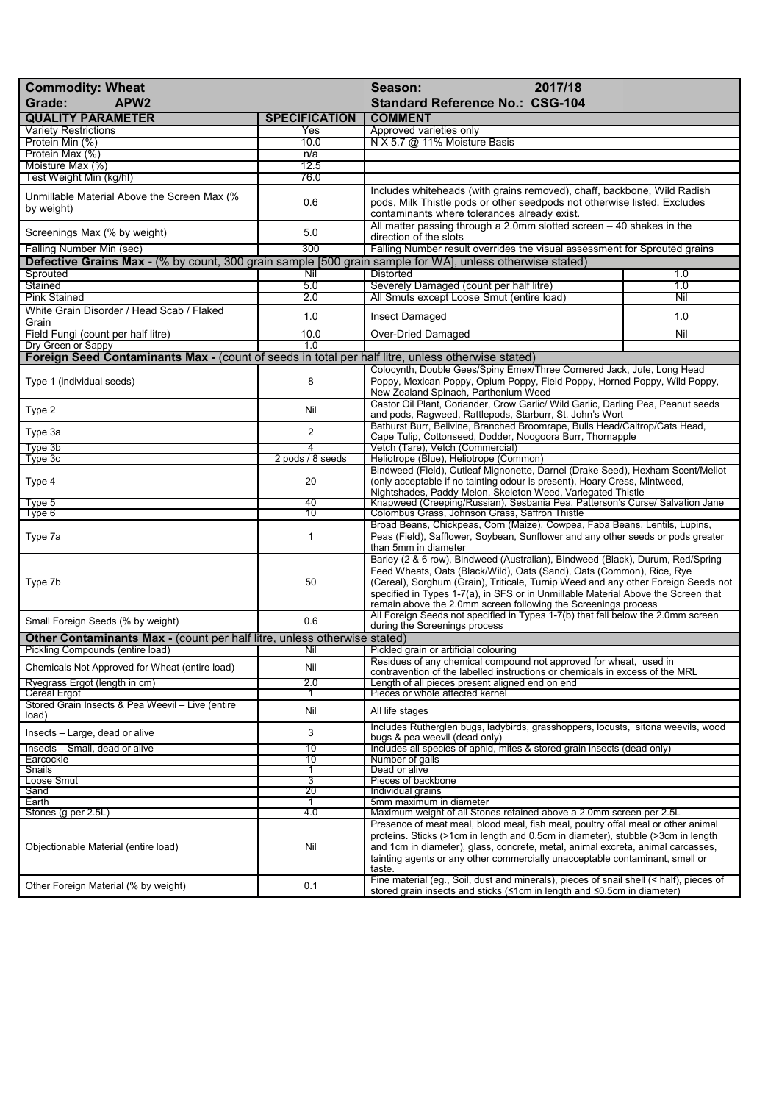| <b>Commodity: Wheat</b><br>APW <sub>2</sub><br>Grade:                                                               |                      | 2017/18<br>Season:<br><b>Standard Reference No.: CSG-104</b>                                                                                                                                                                                                                                                                                                                                        |     |
|---------------------------------------------------------------------------------------------------------------------|----------------------|-----------------------------------------------------------------------------------------------------------------------------------------------------------------------------------------------------------------------------------------------------------------------------------------------------------------------------------------------------------------------------------------------------|-----|
| <b>QUALITY PARAMETER</b>                                                                                            | <b>SPECIFICATION</b> | <b>COMMENT</b>                                                                                                                                                                                                                                                                                                                                                                                      |     |
| <b>Variety Restrictions</b>                                                                                         | Yes                  | Approved varieties only                                                                                                                                                                                                                                                                                                                                                                             |     |
| Protein Min (%)                                                                                                     | 10.0                 | N X 5.7 @ 11% Moisture Basis                                                                                                                                                                                                                                                                                                                                                                        |     |
| Protein Max (%)                                                                                                     | n/a                  |                                                                                                                                                                                                                                                                                                                                                                                                     |     |
| Moisture Max (%)                                                                                                    | 12.5                 |                                                                                                                                                                                                                                                                                                                                                                                                     |     |
| Test Weight Min (kg/hl)                                                                                             | 76.0                 |                                                                                                                                                                                                                                                                                                                                                                                                     |     |
| Unmillable Material Above the Screen Max (%<br>by weight)                                                           | 0.6                  | Includes whiteheads (with grains removed), chaff, backbone, Wild Radish<br>pods, Milk Thistle pods or other seedpods not otherwise listed. Excludes<br>contaminants where tolerances already exist.                                                                                                                                                                                                 |     |
| Screenings Max (% by weight)                                                                                        | 5.0                  | All matter passing through a 2.0mm slotted screen $-40$ shakes in the<br>direction of the slots                                                                                                                                                                                                                                                                                                     |     |
| Falling Number Min (sec)                                                                                            | 300                  | Falling Number result overrides the visual assessment for Sprouted grains                                                                                                                                                                                                                                                                                                                           |     |
| Defective Grains Max - (% by count, 300 grain sample [500 grain sample for WA], unless otherwise stated)            |                      |                                                                                                                                                                                                                                                                                                                                                                                                     |     |
| Sprouted                                                                                                            | Nil                  | <b>Distorted</b>                                                                                                                                                                                                                                                                                                                                                                                    | 1.0 |
| Stained                                                                                                             | 5.0                  | Severely Damaged (count per half litre)                                                                                                                                                                                                                                                                                                                                                             | 1.0 |
| <b>Pink Stained</b>                                                                                                 | 2.0                  | All Smuts except Loose Smut (entire load)                                                                                                                                                                                                                                                                                                                                                           | Nil |
| White Grain Disorder / Head Scab / Flaked<br>Grain                                                                  | 1.0                  | Insect Damaged                                                                                                                                                                                                                                                                                                                                                                                      | 1.0 |
| Field Fungi (count per half litre)                                                                                  | 10.0                 | <b>Over-Dried Damaged</b>                                                                                                                                                                                                                                                                                                                                                                           | Nil |
| Dry Green or Sappy                                                                                                  | 1.0                  |                                                                                                                                                                                                                                                                                                                                                                                                     |     |
| <b>Foreign Seed Contaminants Max - (count of seeds in total per half litre, unless otherwise stated)</b>            |                      |                                                                                                                                                                                                                                                                                                                                                                                                     |     |
| Type 1 (individual seeds)                                                                                           | 8                    | Colocynth, Double Gees/Spiny Emex/Three Cornered Jack, Jute, Long Head<br>Poppy, Mexican Poppy, Opium Poppy, Field Poppy, Horned Poppy, Wild Poppy,<br>New Zealand Spinach, Parthenium Weed                                                                                                                                                                                                         |     |
| Type 2                                                                                                              | Nil                  | Castor Oil Plant, Coriander, Crow Garlic/ Wild Garlic, Darling Pea, Peanut seeds<br>and pods, Ragweed, Rattlepods, Starburr, St. John's Wort                                                                                                                                                                                                                                                        |     |
| Type 3a                                                                                                             | $\overline{2}$       | Bathurst Burr, Bellvine, Branched Broomrape, Bulls Head/Caltrop/Cats Head,<br>Cape Tulip, Cottonseed, Dodder, Noogoora Burr, Thornapple                                                                                                                                                                                                                                                             |     |
| Type 3b                                                                                                             | $\overline{4}$       | Vetch (Tare), Vetch (Commercial)                                                                                                                                                                                                                                                                                                                                                                    |     |
| Type 3c                                                                                                             | 2 pods / 8 seeds     | Heliotrope (Blue), Heliotrope (Common)                                                                                                                                                                                                                                                                                                                                                              |     |
| Type 4                                                                                                              | 20                   | Bindweed (Field), Cutleaf Mignonette, Darnel (Drake Seed), Hexham Scent/Meliot<br>(only acceptable if no tainting odour is present), Hoary Cress, Mintweed,<br>Nightshades, Paddy Melon, Skeleton Weed, Variegated Thistle                                                                                                                                                                          |     |
| Type 5                                                                                                              | 40                   | Knapweed (Creeping/Russian), Sesbania Pea, Patterson's Curse/ Salvation Jane                                                                                                                                                                                                                                                                                                                        |     |
| Type 6                                                                                                              | 10                   | Colombus Grass, Johnson Grass, Saffron Thistle                                                                                                                                                                                                                                                                                                                                                      |     |
| Type 7a                                                                                                             | 1                    | Broad Beans, Chickpeas, Corn (Maize), Cowpea, Faba Beans, Lentils, Lupins,<br>Peas (Field), Safflower, Soybean, Sunflower and any other seeds or pods greater<br>than 5mm in diameter                                                                                                                                                                                                               |     |
| Type 7b                                                                                                             | 50                   | Barley (2 & 6 row), Bindweed (Australian), Bindweed (Black), Durum, Red/Spring<br>Feed Wheats, Oats (Black/Wild), Oats (Sand), Oats (Common), Rice, Rye<br>(Cereal), Sorghum (Grain), Triticale, Turnip Weed and any other Foreign Seeds not<br>specified in Types 1-7(a), in SFS or in Unmillable Material Above the Screen that<br>remain above the 2.0mm screen following the Screenings process |     |
| Small Foreign Seeds (% by weight)                                                                                   | 0.6                  | All Foreign Seeds not specified in Types 1-7(b) that fall below the 2.0mm screen                                                                                                                                                                                                                                                                                                                    |     |
|                                                                                                                     |                      | during the Screenings process                                                                                                                                                                                                                                                                                                                                                                       |     |
| <b>Other Contaminants Max - (count per half litre, unless otherwise stated)</b><br>Pickling Compounds (entire load) | Nil                  |                                                                                                                                                                                                                                                                                                                                                                                                     |     |
| Chemicals Not Approved for Wheat (entire load)                                                                      | Nil                  | Pickled grain or artificial colouring<br>Residues of any chemical compound not approved for wheat, used in<br>contravention of the labelled instructions or chemicals in excess of the MRL                                                                                                                                                                                                          |     |
| Ryegrass Ergot (length in cm)                                                                                       | 2.0                  | Length of all pieces present aligned end on end                                                                                                                                                                                                                                                                                                                                                     |     |
| Cereal Ergot                                                                                                        |                      | Pieces or whole affected kernel                                                                                                                                                                                                                                                                                                                                                                     |     |
| Stored Grain Insects & Pea Weevil - Live (entire<br>load)                                                           | Nil                  | All life stages                                                                                                                                                                                                                                                                                                                                                                                     |     |
| Insects - Large, dead or alive                                                                                      | 3                    | Includes Rutherglen bugs, ladybirds, grasshoppers, locusts, sitona weevils, wood<br>bugs & pea weevil (dead only)                                                                                                                                                                                                                                                                                   |     |
| Insects - Small, dead or alive                                                                                      | 10                   | Includes all species of aphid, mites & stored grain insects (dead only)                                                                                                                                                                                                                                                                                                                             |     |
| Earcockle                                                                                                           | 10                   | Number of galls                                                                                                                                                                                                                                                                                                                                                                                     |     |
| Snails<br>Loose Smut                                                                                                | 1<br>3               | Dead or alive<br>Pieces of backbone                                                                                                                                                                                                                                                                                                                                                                 |     |
| Sand                                                                                                                | 20                   | Individual grains                                                                                                                                                                                                                                                                                                                                                                                   |     |
| Earth                                                                                                               | 1                    | 5mm maximum in diameter                                                                                                                                                                                                                                                                                                                                                                             |     |
| Stones (g per 2.5L)                                                                                                 | 4.0                  | Maximum weight of all Stones retained above a 2.0mm screen per 2.5L                                                                                                                                                                                                                                                                                                                                 |     |
| Objectionable Material (entire load)                                                                                | Nil                  | Presence of meat meal, blood meal, fish meal, poultry offal meal or other animal<br>proteins. Sticks (>1cm in length and 0.5cm in diameter), stubble (>3cm in length<br>and 1cm in diameter), glass, concrete, metal, animal excreta, animal carcasses,<br>tainting agents or any other commercially unacceptable contaminant, smell or<br>taste.                                                   |     |
| Other Foreign Material (% by weight)                                                                                | 0.1                  | Fine material (eg., Soil, dust and minerals), pieces of snail shell (< half), pieces of<br>stored grain insects and sticks (≤1cm in length and ≤0.5cm in diameter)                                                                                                                                                                                                                                  |     |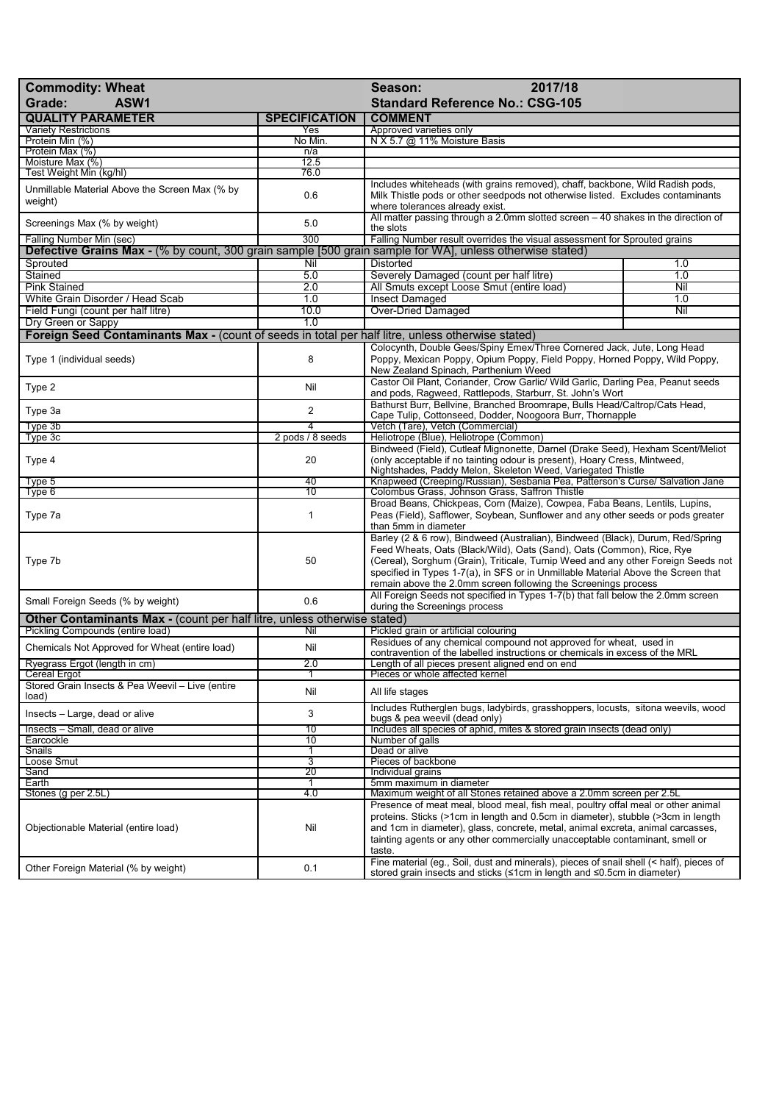| <b>Commodity: Wheat</b><br>ASW1<br>Grade:                                                                                            | 2017/18<br>Season:<br><b>Standard Reference No.: CSG-105</b> |                                                                                                                                                                                                                                                                                                                                                                                                     |     |
|--------------------------------------------------------------------------------------------------------------------------------------|--------------------------------------------------------------|-----------------------------------------------------------------------------------------------------------------------------------------------------------------------------------------------------------------------------------------------------------------------------------------------------------------------------------------------------------------------------------------------------|-----|
| <b>QUALITY PARAMETER</b>                                                                                                             | <b>SPECIFICATION</b>                                         | <b>COMMENT</b>                                                                                                                                                                                                                                                                                                                                                                                      |     |
| <b>Variety Restrictions</b>                                                                                                          | Yes                                                          | Approved varieties only<br>N X 5.7 @ 11% Moisture Basis                                                                                                                                                                                                                                                                                                                                             |     |
| Protein Min (%)<br>Protein Max (%)                                                                                                   | No Min.<br>n/a                                               |                                                                                                                                                                                                                                                                                                                                                                                                     |     |
| Moisture Max (%)                                                                                                                     | 12.5                                                         |                                                                                                                                                                                                                                                                                                                                                                                                     |     |
| Test Weight Min (kg/hl)                                                                                                              | 76.0                                                         |                                                                                                                                                                                                                                                                                                                                                                                                     |     |
| Unmillable Material Above the Screen Max (% by<br>weight)                                                                            | 0.6                                                          | Includes whiteheads (with grains removed), chaff, backbone, Wild Radish pods,<br>Milk Thistle pods or other seedpods not otherwise listed. Excludes contaminants<br>where tolerances already exist.                                                                                                                                                                                                 |     |
| Screenings Max (% by weight)                                                                                                         | 5.0                                                          | All matter passing through a 2.0mm slotted screen - 40 shakes in the direction of<br>the slots                                                                                                                                                                                                                                                                                                      |     |
| Falling Number Min (sec)<br>Defective Grains Max - (% by count, 300 grain sample [500 grain sample for WA], unless otherwise stated) | 300                                                          | Falling Number result overrides the visual assessment for Sprouted grains                                                                                                                                                                                                                                                                                                                           |     |
| Sprouted                                                                                                                             | Nil                                                          | <b>Distorted</b>                                                                                                                                                                                                                                                                                                                                                                                    | 1.0 |
| Stained                                                                                                                              | 5.0                                                          | Severely Damaged (count per half litre)                                                                                                                                                                                                                                                                                                                                                             | 1.0 |
| <b>Pink Stained</b>                                                                                                                  | 2.0                                                          | All Smuts except Loose Smut (entire load)                                                                                                                                                                                                                                                                                                                                                           | Nil |
| White Grain Disorder / Head Scab                                                                                                     | 1.0                                                          | <b>Insect Damaged</b>                                                                                                                                                                                                                                                                                                                                                                               | 1.0 |
| Field Fungi (count per half litre)                                                                                                   | 10.0                                                         | <b>Over-Dried Damaged</b>                                                                                                                                                                                                                                                                                                                                                                           | Nil |
| Dry Green or Sappy                                                                                                                   | 1.0                                                          |                                                                                                                                                                                                                                                                                                                                                                                                     |     |
| Foreign Seed Contaminants Max - (count of seeds in total per half litre, unless otherwise stated)                                    |                                                              |                                                                                                                                                                                                                                                                                                                                                                                                     |     |
| Type 1 (individual seeds)                                                                                                            | 8                                                            | Colocynth, Double Gees/Spiny Emex/Three Cornered Jack, Jute, Long Head<br>Poppy, Mexican Poppy, Opium Poppy, Field Poppy, Horned Poppy, Wild Poppy,<br>New Zealand Spinach, Parthenium Weed                                                                                                                                                                                                         |     |
| Type 2                                                                                                                               | Nil                                                          | Castor Oil Plant, Coriander, Crow Garlic/ Wild Garlic, Darling Pea, Peanut seeds<br>and pods, Ragweed, Rattlepods, Starburr, St. John's Wort                                                                                                                                                                                                                                                        |     |
| Type 3a                                                                                                                              | 2                                                            | Bathurst Burr, Bellvine, Branched Broomrape, Bulls Head/Caltrop/Cats Head,<br>Cape Tulip, Cottonseed, Dodder, Noogoora Burr, Thornapple                                                                                                                                                                                                                                                             |     |
| Type 3b                                                                                                                              | 4                                                            | Vetch (Tare), Vetch (Commercial)                                                                                                                                                                                                                                                                                                                                                                    |     |
| Type 3c                                                                                                                              | 2 pods / 8 seeds                                             | Heliotrope (Blue), Heliotrope (Common)                                                                                                                                                                                                                                                                                                                                                              |     |
| Type 4                                                                                                                               | 20                                                           | Bindweed (Field), Cutleaf Mignonette, Darnel (Drake Seed), Hexham Scent/Meliot<br>(only acceptable if no tainting odour is present), Hoary Cress, Mintweed,<br>Nightshades, Paddy Melon, Skeleton Weed, Variegated Thistle                                                                                                                                                                          |     |
| Type 5                                                                                                                               | 40                                                           | Knapweed (Creeping/Russian), Sesbania Pea, Patterson's Curse/ Salvation Jane                                                                                                                                                                                                                                                                                                                        |     |
| Type 6                                                                                                                               | $\overline{10}$                                              | Colombus Grass, Johnson Grass, Saffron Thistle                                                                                                                                                                                                                                                                                                                                                      |     |
| Type 7a                                                                                                                              | 1                                                            | Broad Beans, Chickpeas, Corn (Maize), Cowpea, Faba Beans, Lentils, Lupins,<br>Peas (Field), Safflower, Soybean, Sunflower and any other seeds or pods greater<br>than 5mm in diameter                                                                                                                                                                                                               |     |
| Type 7b                                                                                                                              | 50                                                           | Barley (2 & 6 row), Bindweed (Australian), Bindweed (Black), Durum, Red/Spring<br>Feed Wheats, Oats (Black/Wild), Oats (Sand), Oats (Common), Rice, Rye<br>(Cereal), Sorghum (Grain), Triticale, Turnip Weed and any other Foreign Seeds not<br>specified in Types 1-7(a), in SFS or in Unmillable Material Above the Screen that<br>remain above the 2.0mm screen following the Screenings process |     |
| Small Foreign Seeds (% by weight)                                                                                                    | 0.6                                                          | All Foreign Seeds not specified in Types 1-7(b) that fall below the 2.0mm screen<br>during the Screenings process                                                                                                                                                                                                                                                                                   |     |
| Other Contaminants Max - (count per half litre, unless otherwise stated)<br>Pickling Compounds (entire load)                         | Nil                                                          | Pickled grain or artificial colouring                                                                                                                                                                                                                                                                                                                                                               |     |
| Chemicals Not Approved for Wheat (entire load)                                                                                       | Nil                                                          | Residues of any chemical compound not approved for wheat, used in<br>contravention of the labelled instructions or chemicals in excess of the MRL                                                                                                                                                                                                                                                   |     |
| Ryegrass Ergot (length in cm)                                                                                                        | Z.U                                                          | Length of all pieces present aligned end on end                                                                                                                                                                                                                                                                                                                                                     |     |
| <b>Cereal Ergot</b>                                                                                                                  |                                                              | Pieces or whole affected kernel                                                                                                                                                                                                                                                                                                                                                                     |     |
| Stored Grain Insects & Pea Weevil - Live (entire<br>load)                                                                            | Nil                                                          | All life stages                                                                                                                                                                                                                                                                                                                                                                                     |     |
| Insects - Large, dead or alive                                                                                                       | 3                                                            | Includes Rutherglen bugs, ladybirds, grasshoppers, locusts, sitona weevils, wood<br>bugs & pea weevil (dead only)                                                                                                                                                                                                                                                                                   |     |
| Insects - Small, dead or alive<br>Earcockle                                                                                          | 10<br>10                                                     | Includes all species of aphid, mites & stored grain insects (dead only)<br>Number of galls                                                                                                                                                                                                                                                                                                          |     |
| Snails                                                                                                                               | 1                                                            | Dead or alive                                                                                                                                                                                                                                                                                                                                                                                       |     |
| Loose Smut                                                                                                                           | 3                                                            | Pieces of backbone                                                                                                                                                                                                                                                                                                                                                                                  |     |
| Sand                                                                                                                                 | 20                                                           | Individual grains                                                                                                                                                                                                                                                                                                                                                                                   |     |
| Earth                                                                                                                                | 1                                                            | 5mm maximum in diameter                                                                                                                                                                                                                                                                                                                                                                             |     |
| Stones (g per 2.5L)                                                                                                                  | 4.0                                                          | Maximum weight of all Stones retained above a 2.0mm screen per 2.5L                                                                                                                                                                                                                                                                                                                                 |     |
| Objectionable Material (entire load)                                                                                                 | Nil                                                          | Presence of meat meal, blood meal, fish meal, poultry offal meal or other animal<br>proteins. Sticks (>1cm in length and 0.5cm in diameter), stubble (>3cm in length<br>and 1cm in diameter), glass, concrete, metal, animal excreta, animal carcasses,<br>tainting agents or any other commercially unacceptable contaminant, smell or<br>taste.                                                   |     |
| Other Foreign Material (% by weight)                                                                                                 | 0.1                                                          | Fine material (eg., Soil, dust and minerals), pieces of snail shell (< half), pieces of<br>stored grain insects and sticks (≤1cm in length and ≤0.5cm in diameter)                                                                                                                                                                                                                                  |     |